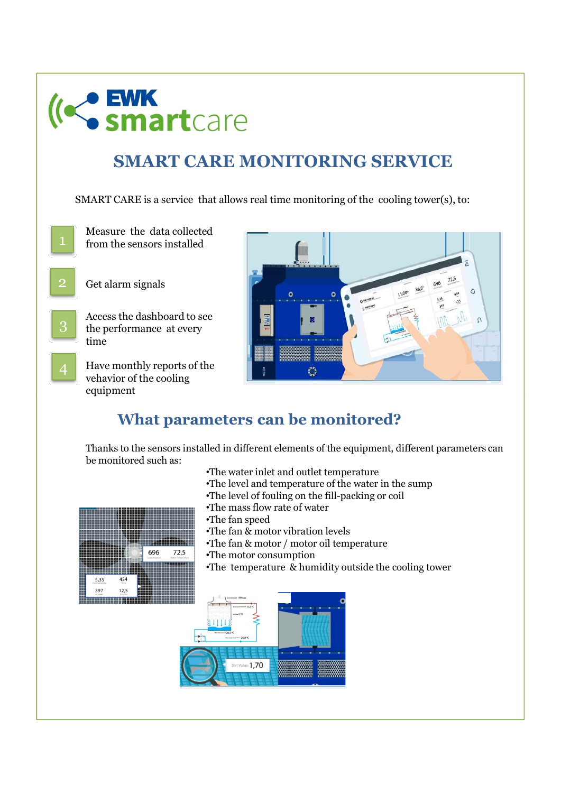

# SMART CARE MONITORING SERVICE



- time
- equipment



Thanks to the sensors installed in different elements of the equipment, different parameters can be monitored such as:

72.5

696

 $12<sup>1</sup>$ ,,,,,,,,,,,,,,,

- 
- 
- 
-